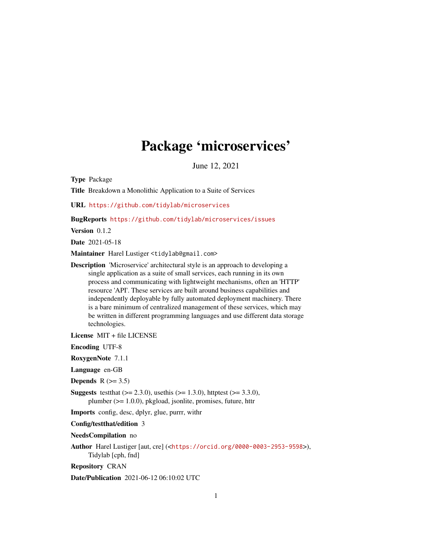## Package 'microservices'

June 12, 2021

Type Package

Title Breakdown a Monolithic Application to a Suite of Services

URL <https://github.com/tidylab/microservices>

BugReports <https://github.com/tidylab/microservices/issues>

Version 0.1.2

Date 2021-05-18

Maintainer Harel Lustiger <tidylab@gmail.com>

- Description 'Microservice' architectural style is an approach to developing a single application as a suite of small services, each running in its own process and communicating with lightweight mechanisms, often an 'HTTP' resource 'API'. These services are built around business capabilities and independently deployable by fully automated deployment machinery. There is a bare minimum of centralized management of these services, which may be written in different programming languages and use different data storage technologies.
- License MIT + file LICENSE

Encoding UTF-8

RoxygenNote 7.1.1

Language en-GB

Depends  $R$  ( $>= 3.5$ )

**Suggests** test that  $(>= 2.3.0)$ , use this  $(>= 1.3.0)$ , httptest  $(>= 3.3.0)$ , plumber (>= 1.0.0), pkgload, jsonlite, promises, future, httr

Imports config, desc, dplyr, glue, purrr, withr

#### Config/testthat/edition 3

NeedsCompilation no

Author Harel Lustiger [aut, cre] (<<https://orcid.org/0000-0003-2953-9598>>), Tidylab [cph, fnd]

Repository CRAN

Date/Publication 2021-06-12 06:10:02 UTC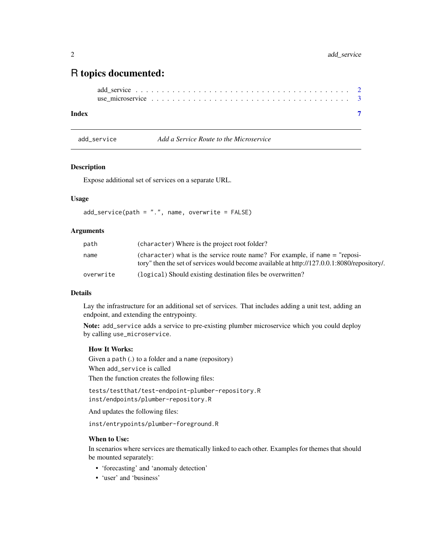### <span id="page-1-0"></span>R topics documented:

#### **Index** [7](#page-6-0) **7**

<span id="page-1-1"></span>add\_service *Add a Service Route to the Microservice*

#### Description

Expose additional set of services on a separate URL.

#### Usage

 $add\_service(path = "."$ , name, overwrite =  $FALSE)$ 

#### Arguments

| path      | (character) Where is the project root folder?                                                                                                                                |
|-----------|------------------------------------------------------------------------------------------------------------------------------------------------------------------------------|
| name      | (character) what is the service route name? For example, if name $=$ "reposi-<br>tory" then the set of services would become available at http://127.0.0.1:8080/repository/. |
| overwrite | (logical) Should existing destination files be overwritten?                                                                                                                  |

#### Details

Lay the infrastructure for an additional set of services. That includes adding a unit test, adding an endpoint, and extending the entrypointy.

Note: add\_service adds a service to pre-existing plumber microservice which you could deploy by calling use\_microservice.

#### How It Works:

Given a path (.) to a folder and a name (repository) When add\_service is called

Then the function creates the following files:

tests/testthat/test-endpoint-plumber-repository.R inst/endpoints/plumber-repository.R

And updates the following files:

inst/entrypoints/plumber-foreground.R

#### When to Use:

In scenarios where services are thematically linked to each other. Examples for themes that should be mounted separately:

- 'forecasting' and 'anomaly detection'
- 'user' and 'business'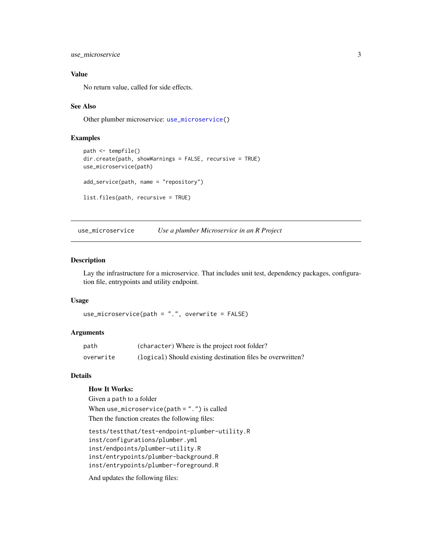<span id="page-2-0"></span>use\_microservice 3

#### Value

No return value, called for side effects.

#### See Also

Other plumber microservice: [use\\_microservice\(](#page-2-1))

#### Examples

```
path <- tempfile()
dir.create(path, showWarnings = FALSE, recursive = TRUE)
use_microservice(path)
add_service(path, name = "repository")
list.files(path, recursive = TRUE)
```
<span id="page-2-1"></span>use\_microservice *Use a plumber Microservice in an R Project*

#### Description

Lay the infrastructure for a microservice. That includes unit test, dependency packages, configuration file, entrypoints and utility endpoint.

#### Usage

```
use_microservice(path = ".". overwrite = FALSE)
```
#### Arguments

| path      | (character) Where is the project root folder?               |
|-----------|-------------------------------------------------------------|
| overwrite | (logical) Should existing destination files be overwritten? |

#### Details

#### How It Works:

Given a path to a folder

When use\_microservice(path = ".") is called Then the function creates the following files:

```
tests/testthat/test-endpoint-plumber-utility.R
inst/configurations/plumber.yml
inst/endpoints/plumber-utility.R
inst/entrypoints/plumber-background.R
inst/entrypoints/plumber-foreground.R
```
And updates the following files: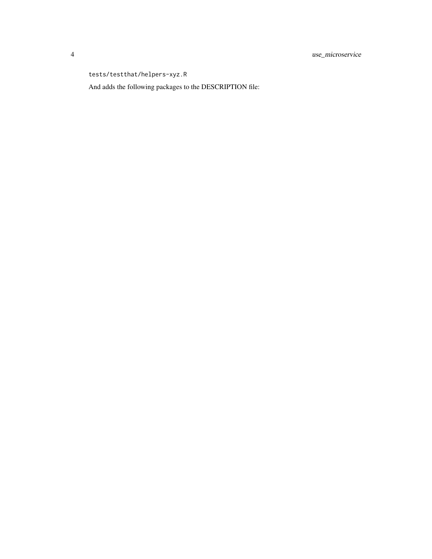tests/testthat/helpers-xyz.R

And adds the following packages to the DESCRIPTION file: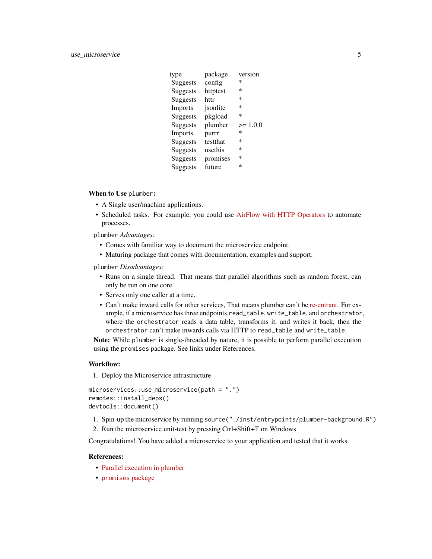| package  | version    |
|----------|------------|
| config   | ∗          |
| httptest | ∗          |
| httr     | ∗          |
| jsonlite | ∗          |
| pkgload  | ∗          |
| plumber  | $>= 1.0.0$ |
| purrr    | *          |
| testthat | ∗          |
| usethis  | ∗          |
| promises | *          |
| future   | *          |
|          |            |

When to Use plumber:

- A Single user/machine applications.
- Scheduled tasks. For example, you could use [AirFlow with HTTP Operators](https://airflow.apache.org/docs/apache-airflow-providers-http/stable/operators.html) to automate processes.

plumber *Advantages:*

- Comes with familiar way to document the microservice endpoint.
- Maturing package that comes with documentation, examples and support.

plumber *Disadvantages:*

- Runs on a single thread. That means that parallel algorithms such as random forest, can only be run on one core.
- Serves only one caller at a time.
- Can't make inward calls for other services, That means plumber can't be [re-entrant.](https://en.wikipedia.org/wiki/Reentrancy_(computing)) For example, if a microservice has three endpoints,read\_table, write\_table, and orchestrator, where the orchestrator reads a data table, transforms it, and writes it back, then the orchestrator can't make inwards calls via HTTP to read\_table and write\_table.

Note: While plumber is single-threaded by nature, it is possible to perform parallel execution using the promises package. See links under References.

#### Workflow:

1. Deploy the Microservice infrastructure

```
microservices::use_microservice(path = ".")
remotes::install_deps()
devtools::document()
```
- 1. Spin-up the microservice by running source("./inst/entrypoints/plumber-background.R")
- 2. Run the microservice unit-test by pressing Ctrl+Shift+T on Windows

Congratulations! You have added a microservice to your application and tested that it works.

#### References:

- [Parallel execution in plumber](https://blog.rstudio.com/2021/03/29/plumber-v1-1-0/#parallel-exec)
- [promises](https://rstudio.github.io/promises/articles/overview.html) package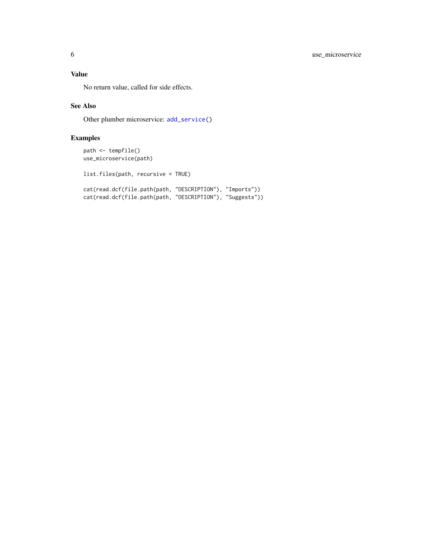<span id="page-5-0"></span>No return value, called for side effects.

#### See Also

Other plumber microservice: [add\\_service\(](#page-1-1))

#### Examples

```
path <- tempfile()
use_microservice(path)
```
list.files(path, recursive = TRUE)

cat(read.dcf(file.path(path, "DESCRIPTION"), "Imports")) cat(read.dcf(file.path(path, "DESCRIPTION"), "Suggests"))